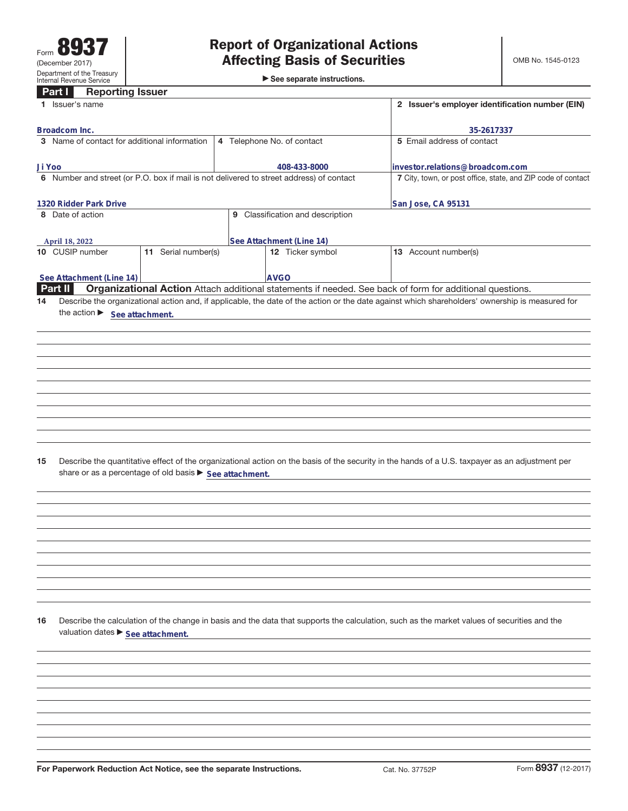►<br>► See separate instructions.

#### **Part I Reporting Issuer**

|                                                                                             | a u<br><b>TIGDAL MILE ISSUE</b><br>1 Issuer's name                 |                     |  |                                              |                                                                                                                                                 | 2 Issuer's employer identification number (EIN)              |  |  |  |
|---------------------------------------------------------------------------------------------|--------------------------------------------------------------------|---------------------|--|----------------------------------------------|-------------------------------------------------------------------------------------------------------------------------------------------------|--------------------------------------------------------------|--|--|--|
|                                                                                             |                                                                    |                     |  |                                              |                                                                                                                                                 |                                                              |  |  |  |
| Broadcom Inc.<br>3 Name of contact for additional information<br>4 Telephone No. of contact |                                                                    |                     |  |                                              | 5 Email address of contact                                                                                                                      | 35-2617337                                                   |  |  |  |
|                                                                                             |                                                                    |                     |  |                                              |                                                                                                                                                 |                                                              |  |  |  |
| Ji Yoo                                                                                      |                                                                    |                     |  | 408-433-8000                                 | investor.relations@broadcom.com                                                                                                                 | 7 City, town, or post office, state, and ZIP code of contact |  |  |  |
| 6 Number and street (or P.O. box if mail is not delivered to street address) of contact     |                                                                    |                     |  |                                              |                                                                                                                                                 |                                                              |  |  |  |
|                                                                                             | 1320 Ridder Park Drive                                             |                     |  |                                              | San Jose, CA 95131                                                                                                                              |                                                              |  |  |  |
|                                                                                             | 8 Date of action                                                   |                     |  | 9 Classification and description             |                                                                                                                                                 |                                                              |  |  |  |
|                                                                                             |                                                                    |                     |  |                                              |                                                                                                                                                 |                                                              |  |  |  |
|                                                                                             | April 18, 2022<br>10 CUSIP number                                  | 11 Serial number(s) |  | See Attachment (Line 14)<br>12 Ticker symbol | 13 Account number(s)                                                                                                                            |                                                              |  |  |  |
|                                                                                             |                                                                    |                     |  |                                              |                                                                                                                                                 |                                                              |  |  |  |
|                                                                                             | See Attachment (Line 14)                                           |                     |  | <b>AVGO</b>                                  |                                                                                                                                                 |                                                              |  |  |  |
|                                                                                             | Part II                                                            |                     |  |                                              | Organizational Action Attach additional statements if needed. See back of form for additional questions.                                        |                                                              |  |  |  |
| 14                                                                                          |                                                                    |                     |  |                                              | Describe the organizational action and, if applicable, the date of the action or the date against which shareholders' ownership is measured for |                                                              |  |  |  |
|                                                                                             | the action See attachment.                                         |                     |  |                                              |                                                                                                                                                 |                                                              |  |  |  |
|                                                                                             |                                                                    |                     |  |                                              |                                                                                                                                                 |                                                              |  |  |  |
|                                                                                             |                                                                    |                     |  |                                              |                                                                                                                                                 |                                                              |  |  |  |
|                                                                                             |                                                                    |                     |  |                                              |                                                                                                                                                 |                                                              |  |  |  |
|                                                                                             |                                                                    |                     |  |                                              |                                                                                                                                                 |                                                              |  |  |  |
|                                                                                             |                                                                    |                     |  |                                              |                                                                                                                                                 |                                                              |  |  |  |
|                                                                                             |                                                                    |                     |  |                                              |                                                                                                                                                 |                                                              |  |  |  |
|                                                                                             |                                                                    |                     |  |                                              |                                                                                                                                                 |                                                              |  |  |  |
|                                                                                             |                                                                    |                     |  |                                              |                                                                                                                                                 |                                                              |  |  |  |
|                                                                                             |                                                                    |                     |  |                                              |                                                                                                                                                 |                                                              |  |  |  |
| 15                                                                                          | share or as a percentage of old basis > See attachment.            |                     |  |                                              | Describe the quantitative effect of the organizational action on the basis of the security in the hands of a U.S. taxpayer as an adjustment per |                                                              |  |  |  |
|                                                                                             |                                                                    |                     |  |                                              |                                                                                                                                                 |                                                              |  |  |  |
|                                                                                             |                                                                    |                     |  |                                              |                                                                                                                                                 |                                                              |  |  |  |
|                                                                                             |                                                                    |                     |  |                                              |                                                                                                                                                 |                                                              |  |  |  |
|                                                                                             |                                                                    |                     |  |                                              |                                                                                                                                                 |                                                              |  |  |  |
|                                                                                             |                                                                    |                     |  |                                              |                                                                                                                                                 |                                                              |  |  |  |
|                                                                                             |                                                                    |                     |  |                                              |                                                                                                                                                 |                                                              |  |  |  |
|                                                                                             |                                                                    |                     |  |                                              |                                                                                                                                                 |                                                              |  |  |  |
|                                                                                             |                                                                    |                     |  |                                              |                                                                                                                                                 |                                                              |  |  |  |
|                                                                                             |                                                                    |                     |  |                                              |                                                                                                                                                 |                                                              |  |  |  |
| 16                                                                                          | valuation dates > See attachment.                                  |                     |  |                                              | Describe the calculation of the change in basis and the data that supports the calculation, such as the market values of securities and the     |                                                              |  |  |  |
|                                                                                             |                                                                    |                     |  |                                              |                                                                                                                                                 |                                                              |  |  |  |
|                                                                                             |                                                                    |                     |  |                                              |                                                                                                                                                 |                                                              |  |  |  |
|                                                                                             |                                                                    |                     |  |                                              |                                                                                                                                                 |                                                              |  |  |  |
|                                                                                             |                                                                    |                     |  |                                              |                                                                                                                                                 |                                                              |  |  |  |
|                                                                                             |                                                                    |                     |  |                                              |                                                                                                                                                 |                                                              |  |  |  |
|                                                                                             |                                                                    |                     |  |                                              |                                                                                                                                                 |                                                              |  |  |  |
|                                                                                             |                                                                    |                     |  |                                              |                                                                                                                                                 |                                                              |  |  |  |
|                                                                                             |                                                                    |                     |  |                                              |                                                                                                                                                 |                                                              |  |  |  |
|                                                                                             | For Paperwork Reduction Act Notice, see the separate Instructions. |                     |  |                                              | Cat. No. 37752P                                                                                                                                 | Form 8937 (12-2017)                                          |  |  |  |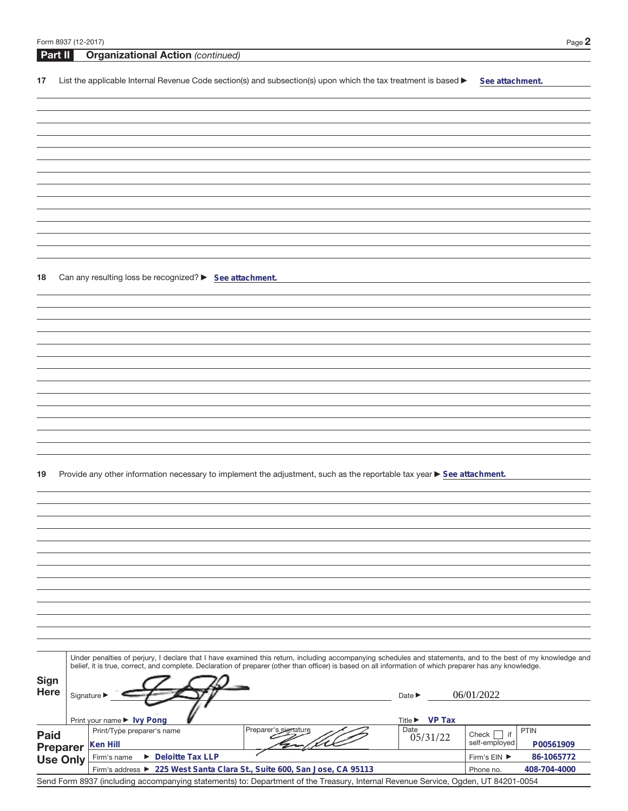| Form 8937 (12-2017) | Page $\mathbb{Z}$ |
|---------------------|-------------------|
|---------------------|-------------------|

| Part II                    |                                 | <b>Organizational Action (continued)</b>                |                                                                                                                                                                                                                                                                                                                          |                            |                                |
|----------------------------|---------------------------------|---------------------------------------------------------|--------------------------------------------------------------------------------------------------------------------------------------------------------------------------------------------------------------------------------------------------------------------------------------------------------------------------|----------------------------|--------------------------------|
| 17                         |                                 |                                                         | List the applicable Internal Revenue Code section(s) and subsection(s) upon which the tax treatment is based ▶                                                                                                                                                                                                           |                            | See attachment.                |
|                            |                                 |                                                         |                                                                                                                                                                                                                                                                                                                          |                            |                                |
|                            |                                 |                                                         |                                                                                                                                                                                                                                                                                                                          |                            |                                |
|                            |                                 |                                                         |                                                                                                                                                                                                                                                                                                                          |                            |                                |
|                            |                                 |                                                         |                                                                                                                                                                                                                                                                                                                          |                            |                                |
|                            |                                 |                                                         |                                                                                                                                                                                                                                                                                                                          |                            |                                |
|                            |                                 |                                                         |                                                                                                                                                                                                                                                                                                                          |                            |                                |
|                            |                                 |                                                         |                                                                                                                                                                                                                                                                                                                          |                            |                                |
|                            |                                 |                                                         |                                                                                                                                                                                                                                                                                                                          |                            |                                |
|                            |                                 |                                                         |                                                                                                                                                                                                                                                                                                                          |                            |                                |
|                            |                                 |                                                         |                                                                                                                                                                                                                                                                                                                          |                            |                                |
|                            |                                 |                                                         |                                                                                                                                                                                                                                                                                                                          |                            |                                |
|                            |                                 |                                                         |                                                                                                                                                                                                                                                                                                                          |                            |                                |
|                            |                                 |                                                         |                                                                                                                                                                                                                                                                                                                          |                            |                                |
| 18                         |                                 | Can any resulting loss be recognized? > See attachment. |                                                                                                                                                                                                                                                                                                                          |                            |                                |
|                            |                                 |                                                         |                                                                                                                                                                                                                                                                                                                          |                            |                                |
|                            |                                 |                                                         |                                                                                                                                                                                                                                                                                                                          |                            |                                |
|                            |                                 |                                                         |                                                                                                                                                                                                                                                                                                                          |                            |                                |
|                            |                                 |                                                         |                                                                                                                                                                                                                                                                                                                          |                            |                                |
|                            |                                 |                                                         |                                                                                                                                                                                                                                                                                                                          |                            |                                |
|                            |                                 |                                                         |                                                                                                                                                                                                                                                                                                                          |                            |                                |
|                            |                                 |                                                         |                                                                                                                                                                                                                                                                                                                          |                            |                                |
|                            |                                 |                                                         |                                                                                                                                                                                                                                                                                                                          |                            |                                |
|                            |                                 |                                                         |                                                                                                                                                                                                                                                                                                                          |                            |                                |
|                            |                                 |                                                         |                                                                                                                                                                                                                                                                                                                          |                            |                                |
|                            |                                 |                                                         |                                                                                                                                                                                                                                                                                                                          |                            |                                |
|                            |                                 |                                                         |                                                                                                                                                                                                                                                                                                                          |                            |                                |
| 19                         |                                 |                                                         | Provide any other information necessary to implement the adjustment, such as the reportable tax year ▶ See attachment.                                                                                                                                                                                                   |                            |                                |
|                            |                                 |                                                         |                                                                                                                                                                                                                                                                                                                          |                            |                                |
|                            |                                 |                                                         |                                                                                                                                                                                                                                                                                                                          |                            |                                |
|                            |                                 |                                                         |                                                                                                                                                                                                                                                                                                                          |                            |                                |
|                            |                                 |                                                         |                                                                                                                                                                                                                                                                                                                          |                            |                                |
|                            |                                 |                                                         |                                                                                                                                                                                                                                                                                                                          |                            |                                |
|                            |                                 |                                                         |                                                                                                                                                                                                                                                                                                                          |                            |                                |
|                            |                                 |                                                         |                                                                                                                                                                                                                                                                                                                          |                            |                                |
|                            |                                 |                                                         |                                                                                                                                                                                                                                                                                                                          |                            |                                |
|                            |                                 |                                                         |                                                                                                                                                                                                                                                                                                                          |                            |                                |
|                            |                                 |                                                         |                                                                                                                                                                                                                                                                                                                          |                            |                                |
|                            |                                 |                                                         |                                                                                                                                                                                                                                                                                                                          |                            |                                |
|                            |                                 |                                                         |                                                                                                                                                                                                                                                                                                                          |                            |                                |
|                            |                                 |                                                         | Under penalties of perjury, I declare that I have examined this return, including accompanying schedules and statements, and to the best of my knowledge and<br>belief, it is true, correct, and complete. Declaration of preparer (other than officer) is based on all information of which preparer has any knowledge. |                            |                                |
|                            |                                 |                                                         |                                                                                                                                                                                                                                                                                                                          |                            |                                |
| <b>Sign</b><br><b>Here</b> |                                 |                                                         |                                                                                                                                                                                                                                                                                                                          |                            | 06/01/2022                     |
|                            | Signature $\blacktriangleright$ |                                                         |                                                                                                                                                                                                                                                                                                                          | Date $\blacktriangleright$ |                                |
|                            |                                 | Print your name ▶ Ivy Pong                              |                                                                                                                                                                                                                                                                                                                          | Title ▶ VP Tax             |                                |
| Paid                       |                                 | Print/Type preparer's name                              | Preparer's signature                                                                                                                                                                                                                                                                                                     | Date                       | <b>PTIN</b><br>Check $\Box$ if |
| <b>Preparer</b>            |                                 | Ken Hill                                                |                                                                                                                                                                                                                                                                                                                          | 05/31/22                   | self-employed<br>P00561909     |
| <b>Use Only</b>            |                                 | $\triangleright$ Deloitte Tax LLP<br>Firm's name        |                                                                                                                                                                                                                                                                                                                          |                            | 86-1065772<br>Firm's EIN ▶     |
|                            |                                 |                                                         | Firm's address > 225 West Santa Clara St., Suite 600, San Jose, CA 95113                                                                                                                                                                                                                                                 |                            | 408-704-4000<br>Phone no.      |
|                            |                                 |                                                         | Send Form 8937 (including accompanying statements) to: Department of the Treasury, Internal Revenue Service, Ogden, UT 84201-0054                                                                                                                                                                                        |                            |                                |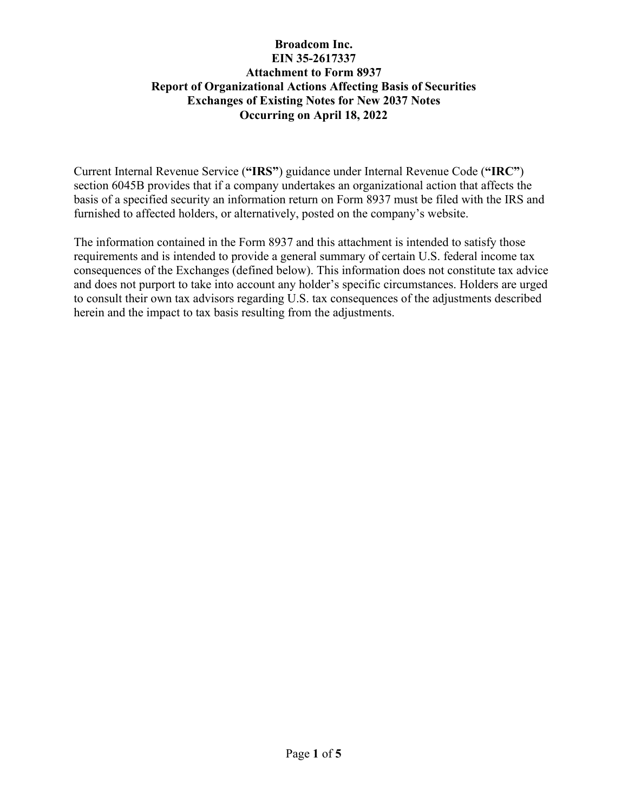Current Internal Revenue Service (**"IRS"**) guidance under Internal Revenue Code (**"IRC"**) section 6045B provides that if a company undertakes an organizational action that affects the basis of a specified security an information return on Form 8937 must be filed with the IRS and furnished to affected holders, or alternatively, posted on the company's website.

The information contained in the Form 8937 and this attachment is intended to satisfy those requirements and is intended to provide a general summary of certain U.S. federal income tax consequences of the Exchanges (defined below). This information does not constitute tax advice and does not purport to take into account any holder's specific circumstances. Holders are urged to consult their own tax advisors regarding U.S. tax consequences of the adjustments described herein and the impact to tax basis resulting from the adjustments.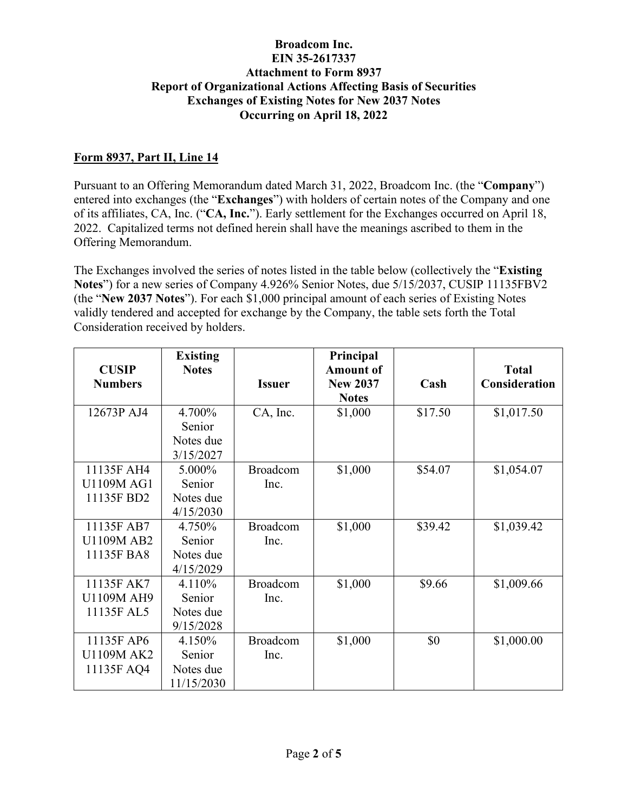## **Form 8937, Part II, Line 14**

Pursuant to an Offering Memorandum dated March 31, 2022, Broadcom Inc. (the "**Company**") entered into exchanges (the "**Exchanges**") with holders of certain notes of the Company and one of its affiliates, CA, Inc. ("**CA, Inc.**"). Early settlement for the Exchanges occurred on April 18, 2022. Capitalized terms not defined herein shall have the meanings ascribed to them in the Offering Memorandum.

The Exchanges involved the series of notes listed in the table below (collectively the "**Existing Notes**") for a new series of Company 4.926% Senior Notes, due 5/15/2037, CUSIP 11135FBV2 (the "**New 2037 Notes**"). For each \$1,000 principal amount of each series of Existing Notes validly tendered and accepted for exchange by the Company, the table sets forth the Total Consideration received by holders.

| <b>CUSIP</b>                                  | <b>Existing</b><br><b>Notes</b>             |                         | Principal<br><b>Amount of</b>   |         | <b>Total</b>  |
|-----------------------------------------------|---------------------------------------------|-------------------------|---------------------------------|---------|---------------|
| <b>Numbers</b>                                |                                             | <b>Issuer</b>           | <b>New 2037</b><br><b>Notes</b> | Cash    | Consideration |
| 12673P AJ4                                    | 4.700%<br>Senior<br>Notes due<br>3/15/2027  | CA, Inc.                | \$1,000                         | \$17.50 | \$1,017.50    |
| 11135F AH4<br><b>U1109M AG1</b><br>11135F BD2 | 5.000%<br>Senior<br>Notes due<br>4/15/2030  | <b>Broadcom</b><br>Inc. | \$1,000                         | \$54.07 | \$1,054.07    |
| 11135F AB7<br><b>U1109M AB2</b><br>11135F BA8 | 4.750%<br>Senior<br>Notes due<br>4/15/2029  | Broadcom<br>Inc.        | \$1,000                         | \$39.42 | \$1,039.42    |
| 11135F AK7<br>U1109M AH9<br>11135F AL5        | 4.110%<br>Senior<br>Notes due<br>9/15/2028  | <b>Broadcom</b><br>Inc. | \$1,000                         | \$9.66  | \$1,009.66    |
| 11135F AP6<br>U1109M AK2<br>11135F AQ4        | 4.150%<br>Senior<br>Notes due<br>11/15/2030 | <b>Broadcom</b><br>Inc. | \$1,000                         | \$0     | \$1,000.00    |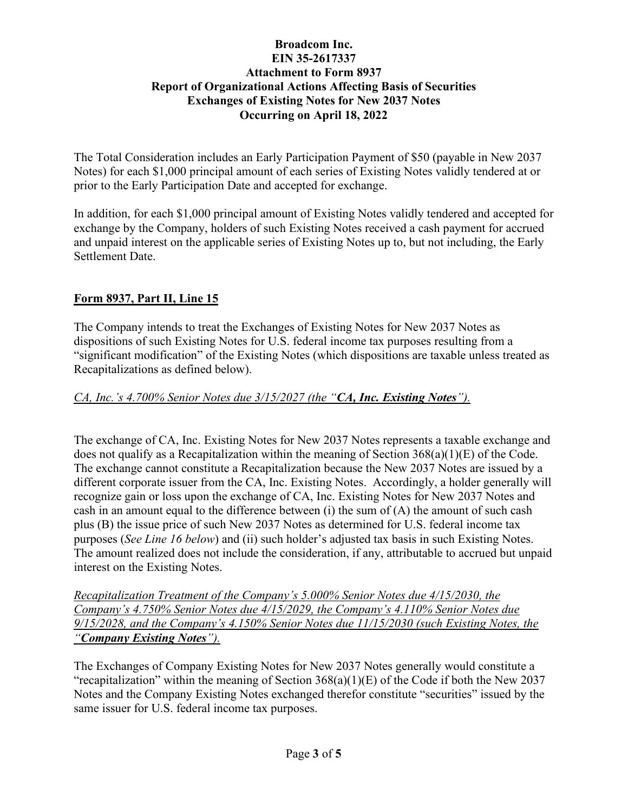The Total Consideration includes an Early Participation Payment of \$50 (payable in New 2037 Notes) for each \$1,000 principal amount of each series of Existing Notes validly tendered at or prior to the Early Participation Date and accepted for exchange.

In addition, for each \$1,000 principal amount of Existing Notes validly tendered and accepted for exchange by the Company, holders of such Existing Notes received a cash payment for accrued and unpaid interest on the applicable series of Existing Notes up to, but not including, the Early Settlement Date.

## **Form 8937, Part II, Line 15**

The Company intends to treat the Exchanges of Existing Notes for New 2037 Notes as dispositions of such Existing Notes for U.S. federal income tax purposes resulting from a "significant modification" of the Existing Notes (which dispositions are taxable unless treated as Recapitalizations as defined below).

## *CA, Inc.'s 4.700% Senior Notes due 3/15/2027 (the "CA, Inc. Existing Notes").*

The exchange of CA, Inc. Existing Notes for New 2037 Notes represents a taxable exchange and does not qualify as a Recapitalization within the meaning of Section 368(a)(1)(E) of the Code. The exchange cannot constitute a Recapitalization because the New 2037 Notes are issued by a different corporate issuer from the CA, Inc. Existing Notes. Accordingly, a holder generally will recognize gain or loss upon the exchange of CA, Inc. Existing Notes for New 2037 Notes and cash in an amount equal to the difference between (i) the sum of (A) the amount of such cash plus (B) the issue price of such New 2037 Notes as determined for U.S. federal income tax purposes (*See Line 16 below*) and (ii) such holder's adjusted tax basis in such Existing Notes. The amount realized does not include the consideration, if any, attributable to accrued but unpaid interest on the Existing Notes.

*Recapitalization Treatment of the Company's 5.000% Senior Notes due 4/15/2030, the Company's 4.750% Senior Notes due 4/15/2029, the Company's 4.110% Senior Notes due 9/15/2028, and the Company's 4.150% Senior Notes due 11/15/2030 (such Existing Notes, the "Company Existing Notes").* 

The Exchanges of Company Existing Notes for New 2037 Notes generally would constitute a "recapitalization" within the meaning of Section  $368(a)(1)(E)$  of the Code if both the New 2037 Notes and the Company Existing Notes exchanged therefor constitute "securities" issued by the same issuer for U.S. federal income tax purposes.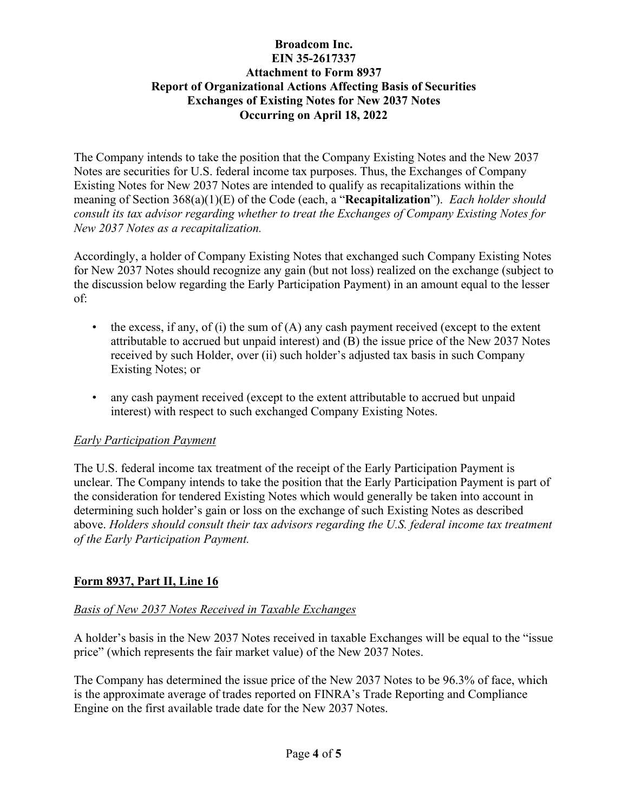The Company intends to take the position that the Company Existing Notes and the New 2037 Notes are securities for U.S. federal income tax purposes. Thus, the Exchanges of Company Existing Notes for New 2037 Notes are intended to qualify as recapitalizations within the meaning of Section 368(a)(1)(E) of the Code (each, a "**Recapitalization**"). *Each holder should consult its tax advisor regarding whether to treat the Exchanges of Company Existing Notes for New 2037 Notes as a recapitalization.*

Accordingly, a holder of Company Existing Notes that exchanged such Company Existing Notes for New 2037 Notes should recognize any gain (but not loss) realized on the exchange (subject to the discussion below regarding the Early Participation Payment) in an amount equal to the lesser of:

- the excess, if any, of (i) the sum of (A) any cash payment received (except to the extent attributable to accrued but unpaid interest) and (B) the issue price of the New 2037 Notes received by such Holder, over (ii) such holder's adjusted tax basis in such Company Existing Notes; or
- any cash payment received (except to the extent attributable to accrued but unpaid interest) with respect to such exchanged Company Existing Notes.

## *Early Participation Payment*

The U.S. federal income tax treatment of the receipt of the Early Participation Payment is unclear. The Company intends to take the position that the Early Participation Payment is part of the consideration for tendered Existing Notes which would generally be taken into account in determining such holder's gain or loss on the exchange of such Existing Notes as described above. *Holders should consult their tax advisors regarding the U.S. federal income tax treatment of the Early Participation Payment.*

## **Form 8937, Part II, Line 16**

## *Basis of New 2037 Notes Received in Taxable Exchanges*

A holder's basis in the New 2037 Notes received in taxable Exchanges will be equal to the "issue price" (which represents the fair market value) of the New 2037 Notes.

The Company has determined the issue price of the New 2037 Notes to be 96.3% of face, which is the approximate average of trades reported on FINRA's Trade Reporting and Compliance Engine on the first available trade date for the New 2037 Notes.